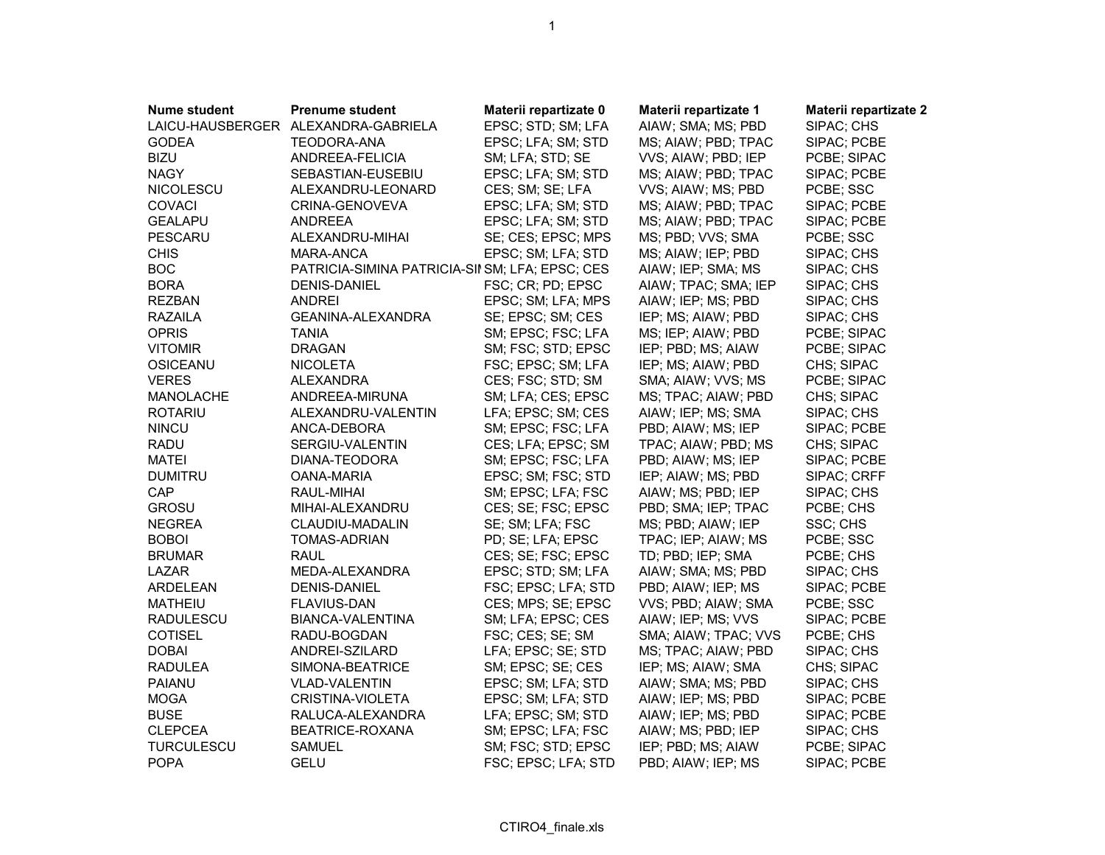| <b>Nume student</b> | <b>Prenume student</b>                          | Materii repartizate 0 | Materii repartizate 1 | Materii repartizate 2 |
|---------------------|-------------------------------------------------|-----------------------|-----------------------|-----------------------|
| LAICU-HAUSBERGER    | ALEXANDRA-GABRIELA                              | EPSC; STD; SM; LFA    | AIAW; SMA; MS; PBD    | SIPAC; CHS            |
| <b>GODEA</b>        | <b>TEODORA-ANA</b>                              | EPSC; LFA; SM; STD    | MS; AIAW; PBD; TPAC   | SIPAC; PCBE           |
| <b>BIZU</b>         | ANDREEA-FELICIA                                 | SM; LFA; STD; SE      | VVS; AIAW; PBD; IEP   | PCBE; SIPAC           |
| <b>NAGY</b>         | SEBASTIAN-EUSEBIU                               | EPSC; LFA; SM; STD    | MS; AIAW; PBD; TPAC   | SIPAC; PCBE           |
| NICOLESCU           | ALEXANDRU-LEONARD                               | CES; SM; SE; LFA      | VVS; AIAW; MS; PBD    | PCBE; SSC             |
| <b>COVACI</b>       | CRINA-GENOVEVA                                  | EPSC; LFA; SM; STD    | MS; AIAW; PBD; TPAC   | SIPAC; PCBE           |
| <b>GEALAPU</b>      | <b>ANDREEA</b>                                  | EPSC; LFA; SM; STD    | MS; AIAW; PBD; TPAC   | SIPAC; PCBE           |
| <b>PESCARU</b>      | ALEXANDRU-MIHAI                                 | SE; CES; EPSC; MPS    | MS; PBD; VVS; SMA     | PCBE; SSC             |
| <b>CHIS</b>         | MARA-ANCA                                       | EPSC; SM; LFA; STD    | MS; AIAW; IEP; PBD    | SIPAC; CHS            |
| <b>BOC</b>          | PATRICIA-SIMINA PATRICIA-SII SM; LFA; EPSC; CES |                       | AIAW; IEP; SMA; MS    | SIPAC; CHS            |
| <b>BORA</b>         | <b>DENIS-DANIEL</b>                             | FSC; CR; PD; EPSC     | AIAW; TPAC; SMA; IEP  | SIPAC; CHS            |
| <b>REZBAN</b>       | <b>ANDREI</b>                                   | EPSC; SM; LFA; MPS    | AIAW; IEP; MS; PBD    | SIPAC; CHS            |
| <b>RAZAILA</b>      | GEANINA-ALEXANDRA                               | SE; EPSC; SM; CES     | IEP; MS; AIAW; PBD    | SIPAC; CHS            |
| <b>OPRIS</b>        | <b>TANIA</b>                                    | SM; EPSC; FSC; LFA    | MS; IEP; AIAW; PBD    | PCBE; SIPAC           |
| <b>VITOMIR</b>      | <b>DRAGAN</b>                                   | SM; FSC; STD; EPSC    | IEP; PBD; MS; AIAW    | PCBE; SIPAC           |
| <b>OSICEANU</b>     | <b>NICOLETA</b>                                 | FSC; EPSC; SM; LFA    | IEP; MS; AIAW; PBD    | CHS; SIPAC            |
| <b>VERES</b>        | ALEXANDRA                                       | CES; FSC; STD; SM     | SMA; AIAW; VVS; MS    | PCBE; SIPAC           |
| MANOLACHE           | ANDREEA-MIRUNA                                  | SM; LFA; CES; EPSC    | MS; TPAC; AIAW; PBD   | CHS; SIPAC            |
| <b>ROTARIU</b>      | ALEXANDRU-VALENTIN                              | LFA; EPSC; SM; CES    | AIAW; IEP; MS; SMA    | SIPAC; CHS            |
| <b>NINCU</b>        | ANCA-DEBORA                                     | SM; EPSC; FSC; LFA    | PBD; AIAW; MS; IEP    | SIPAC; PCBE           |
| <b>RADU</b>         | SERGIU-VALENTIN                                 | CES; LFA; EPSC; SM    | TPAC; AIAW; PBD; MS   | CHS; SIPAC            |
| <b>MATEI</b>        | DIANA-TEODORA                                   | SM; EPSC; FSC; LFA    | PBD; AIAW; MS; IEP    | SIPAC; PCBE           |
| <b>DUMITRU</b>      | <b>OANA-MARIA</b>                               | EPSC; SM; FSC; STD    | IEP; AIAW; MS; PBD    | SIPAC; CRFF           |
| CAP                 | RAUL-MIHAI                                      | SM; EPSC; LFA; FSC    | AIAW; MS; PBD; IEP    | SIPAC; CHS            |
| <b>GROSU</b>        | MIHAI-ALEXANDRU                                 | CES; SE; FSC; EPSC    | PBD; SMA; IEP; TPAC   | PCBE; CHS             |
| <b>NEGREA</b>       | CLAUDIU-MADALIN                                 | SE; SM; LFA; FSC      | MS; PBD; AIAW; IEP    | SSC; CHS              |
| <b>BOBOI</b>        | <b>TOMAS-ADRIAN</b>                             | PD; SE; LFA; EPSC     | TPAC; IEP; AIAW; MS   | PCBE; SSC             |
| <b>BRUMAR</b>       | <b>RAUL</b>                                     | CES; SE; FSC; EPSC    | TD; PBD; IEP; SMA     | PCBE; CHS             |
| LAZAR               | MEDA-ALEXANDRA                                  | EPSC; STD; SM; LFA    | AIAW; SMA; MS; PBD    | SIPAC; CHS            |
| ARDELEAN            | DENIS-DANIEL                                    | FSC; EPSC; LFA; STD   | PBD; AIAW; IEP; MS    | SIPAC; PCBE           |
| <b>MATHEIU</b>      | FLAVIUS-DAN                                     | CES; MPS; SE; EPSC    | VVS; PBD; AIAW; SMA   | PCBE; SSC             |
| <b>RADULESCU</b>    | BIANCA-VALENTINA                                | SM; LFA; EPSC; CES    | AIAW; IEP; MS; VVS    | SIPAC; PCBE           |
| <b>COTISEL</b>      | RADU-BOGDAN                                     | FSC; CES; SE; SM      | SMA; AIAW; TPAC; VVS  | PCBE; CHS             |
| <b>DOBAI</b>        | ANDREI-SZILARD                                  | LFA; EPSC; SE; STD    | MS; TPAC; AIAW; PBD   | SIPAC; CHS            |
| <b>RADULEA</b>      | SIMONA-BEATRICE                                 | SM; EPSC; SE; CES     | IEP; MS; AIAW; SMA    | CHS; SIPAC            |
| <b>PAIANU</b>       | <b>VLAD-VALENTIN</b>                            | EPSC; SM; LFA; STD    | AIAW; SMA; MS; PBD    | SIPAC; CHS            |
| <b>MOGA</b>         | CRISTINA-VIOLETA                                | EPSC; SM; LFA; STD    | AIAW; IEP; MS; PBD    | SIPAC; PCBE           |
| <b>BUSE</b>         | RALUCA-ALEXANDRA                                | LFA; EPSC; SM; STD    | AIAW; IEP; MS; PBD    | SIPAC; PCBE           |
| <b>CLEPCEA</b>      | BEATRICE-ROXANA                                 | SM; EPSC; LFA; FSC    | AIAW; MS; PBD; IEP    | SIPAC; CHS            |
| <b>TURCULESCU</b>   | <b>SAMUEL</b>                                   | SM; FSC; STD; EPSC    | IEP; PBD; MS; AIAW    | PCBE; SIPAC           |
| <b>POPA</b>         | <b>GELU</b>                                     | FSC; EPSC; LFA; STD   | PBD; AIAW; IEP; MS    | SIPAC; PCBE           |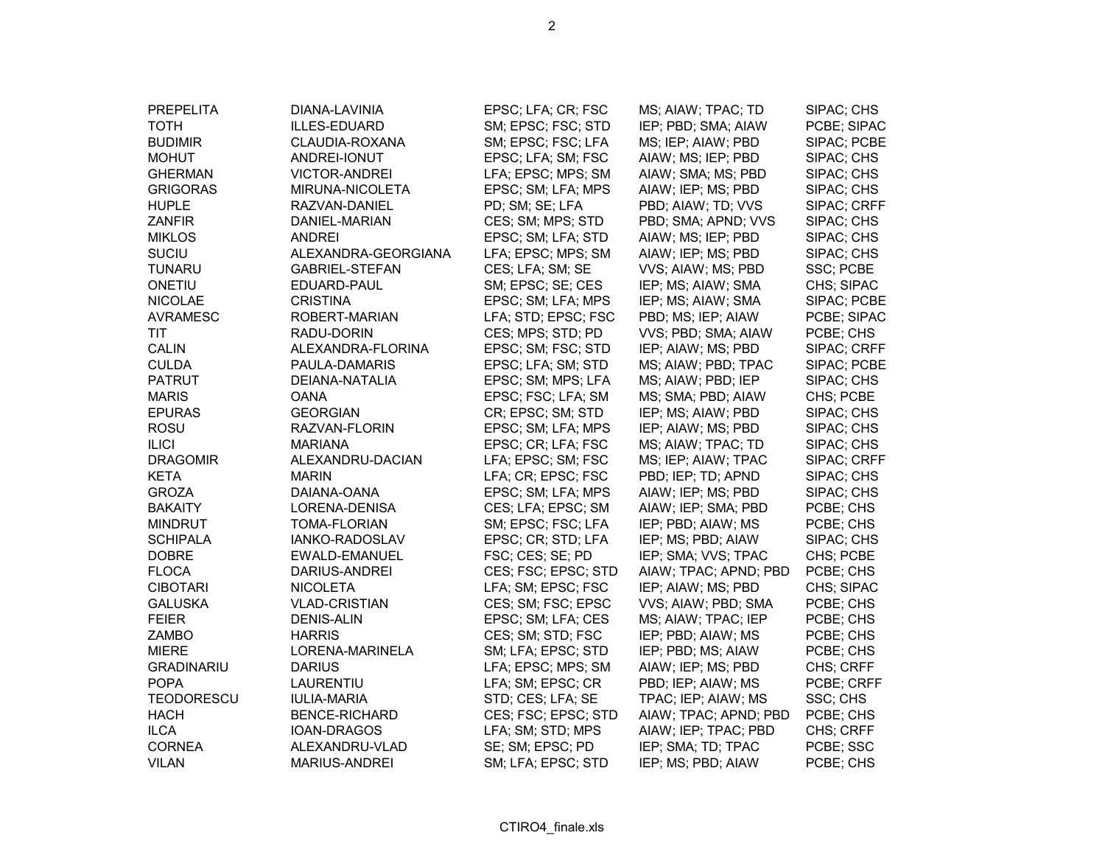| <b>PREPELITA</b>  | DIANA-LAVINIA         | EPSC; LFA; CR; FSC  | MS; AIAW; TPAC; TD    | SIPAC; CHS  |
|-------------------|-----------------------|---------------------|-----------------------|-------------|
| <b>TOTH</b>       | ILLES-EDUARD          | SM; EPSC; FSC; STD  | IEP; PBD; SMA; AIAW   | PCBE; SIPAC |
| <b>BUDIMIR</b>    | CLAUDIA-ROXANA        | SM; EPSC; FSC; LFA  | MS; IEP; AIAW; PBD    | SIPAC; PCBE |
| <b>MOHUT</b>      | ANDREI-IONUT          | EPSC; LFA; SM; FSC  | AIAW; MS; IEP; PBD    | SIPAC; CHS  |
| <b>GHERMAN</b>    | <b>VICTOR-ANDREI</b>  | LFA; EPSC; MPS; SM  | AIAW; SMA; MS; PBD    | SIPAC; CHS  |
| <b>GRIGORAS</b>   | MIRUNA-NICOLETA       | EPSC; SM; LFA; MPS  | AIAW; IEP; MS; PBD    | SIPAC; CHS  |
| <b>HUPLE</b>      | RAZVAN-DANIEL         | PD; SM; SE; LFA     | PBD; AIAW; TD; VVS    | SIPAC; CRFF |
| <b>ZANFIR</b>     | DANIEL-MARIAN         | CES; SM; MPS; STD   | PBD; SMA; APND; VVS   | SIPAC; CHS  |
| <b>MIKLOS</b>     | <b>ANDREI</b>         | EPSC; SM; LFA; STD  | AIAW; MS; IEP; PBD    | SIPAC; CHS  |
| <b>SUCIU</b>      | ALEXANDRA-GEORGIANA   | LFA; EPSC; MPS; SM  | AIAW; IEP; MS; PBD    | SIPAC; CHS  |
| <b>TUNARU</b>     | <b>GABRIEL-STEFAN</b> | CES; LFA; SM; SE    | VVS; AIAW; MS; PBD    | SSC; PCBE   |
| ONETIU            | EDUARD-PAUL           | SM; EPSC; SE; CES   | IEP; MS; AIAW; SMA    | CHS; SIPAC  |
| <b>NICOLAE</b>    | <b>CRISTINA</b>       | EPSC; SM; LFA; MPS  | IEP; MS; AIAW; SMA    | SIPAC; PCBE |
| <b>AVRAMESC</b>   | ROBERT-MARIAN         | LFA; STD; EPSC; FSC | PBD; MS; IEP; AIAW    | PCBE; SIPAC |
| TIT               | RADU-DORIN            | CES; MPS; STD; PD   | VVS; PBD; SMA; AIAW   | PCBE; CHS   |
| <b>CALIN</b>      | ALEXANDRA-FLORINA     | EPSC; SM; FSC; STD  | IEP; AIAW; MS; PBD    | SIPAC; CRFF |
| <b>CULDA</b>      | PAULA-DAMARIS         | EPSC; LFA; SM; STD  | MS; AIAW; PBD; TPAC   | SIPAC; PCBE |
| <b>PATRUT</b>     | DEIANA-NATALIA        | EPSC; SM; MPS; LFA  | MS; AIAW; PBD; IEP    | SIPAC; CHS  |
| <b>MARIS</b>      | <b>OANA</b>           | EPSC; FSC; LFA; SM  | MS; SMA; PBD; AIAW    | CHS; PCBE   |
| <b>EPURAS</b>     | <b>GEORGIAN</b>       | CR; EPSC; SM; STD   | IEP; MS; AIAW; PBD    | SIPAC; CHS  |
| <b>ROSU</b>       | RAZVAN-FLORIN         | EPSC; SM; LFA; MPS  | IEP; AIAW; MS; PBD    | SIPAC; CHS  |
| <b>ILICI</b>      | <b>MARIANA</b>        | EPSC; CR; LFA; FSC  | MS; AIAW; TPAC; TD    | SIPAC; CHS  |
| <b>DRAGOMIR</b>   | ALEXANDRU-DACIAN      | LFA; EPSC; SM; FSC  | MS; IEP; AIAW; TPAC   | SIPAC; CRFF |
| <b>KETA</b>       | <b>MARIN</b>          | LFA; CR; EPSC; FSC  | PBD; IEP; TD; APND    | SIPAC; CHS  |
| <b>GROZA</b>      | DAIANA-OANA           | EPSC; SM; LFA; MPS  | AIAW; IEP; MS; PBD    | SIPAC; CHS  |
| <b>BAKAITY</b>    | LORENA-DENISA         | CES; LFA; EPSC; SM  | AIAW; IEP; SMA; PBD   | PCBE; CHS   |
| <b>MINDRUT</b>    | <b>TOMA-FLORIAN</b>   | SM; EPSC; FSC; LFA  | IEP; PBD; AIAW; MS    | PCBE; CHS   |
| <b>SCHIPALA</b>   | IANKO-RADOSLAV        | EPSC; CR; STD; LFA  | IEP; MS; PBD; AIAW    | SIPAC; CHS  |
| <b>DOBRE</b>      | EWALD-EMANUEL         | FSC; CES; SE; PD    | IEP; SMA; VVS; TPAC   | CHS; PCBE   |
| <b>FLOCA</b>      | DARIUS-ANDREI         | CES; FSC; EPSC; STD | AIAW; TPAC; APND; PBD | PCBE; CHS   |
| <b>CIBOTARI</b>   | <b>NICOLETA</b>       | LFA; SM; EPSC; FSC  | IEP; AIAW; MS; PBD    | CHS; SIPAC  |
| <b>GALUSKA</b>    | <b>VLAD-CRISTIAN</b>  | CES; SM; FSC; EPSC  | VVS; AIAW; PBD; SMA   | PCBE; CHS   |
| <b>FEIER</b>      | <b>DENIS-ALIN</b>     | EPSC; SM; LFA; CES  | MS; AIAW; TPAC; IEP   | PCBE; CHS   |
| <b>ZAMBO</b>      | <b>HARRIS</b>         | CES; SM; STD; FSC   | IEP; PBD; AIAW; MS    | PCBE; CHS   |
| <b>MIERE</b>      | LORENA-MARINELA       | SM; LFA; EPSC; STD  | IEP; PBD; MS; AIAW    | PCBE; CHS   |
| <b>GRADINARIU</b> | <b>DARIUS</b>         | LFA; EPSC; MPS; SM  | AIAW; IEP; MS; PBD    | CHS; CRFF   |
| <b>POPA</b>       | LAURENTIU             | LFA; SM; EPSC; CR   | PBD; IEP; AIAW; MS    | PCBE; CRFF  |
| <b>TEODORESCU</b> | <b>IULIA-MARIA</b>    | STD; CES; LFA; SE   | TPAC; IEP; AIAW; MS   | SSC; CHS    |
| <b>HACH</b>       | <b>BENCE-RICHARD</b>  | CES; FSC; EPSC; STD | AIAW; TPAC; APND; PBD | PCBE; CHS   |
| <b>ILCA</b>       | IOAN-DRAGOS           | LFA; SM; STD; MPS   | AIAW; IEP; TPAC; PBD  | CHS; CRFF   |
| <b>CORNEA</b>     | ALEXANDRU-VLAD        | SE; SM; EPSC; PD    | IEP; SMA; TD; TPAC    | PCBE; SSC   |
| <b>VILAN</b>      | <b>MARIUS-ANDREI</b>  | SM; LFA; EPSC; STD  | IEP; MS; PBD; AIAW    | PCBE; CHS   |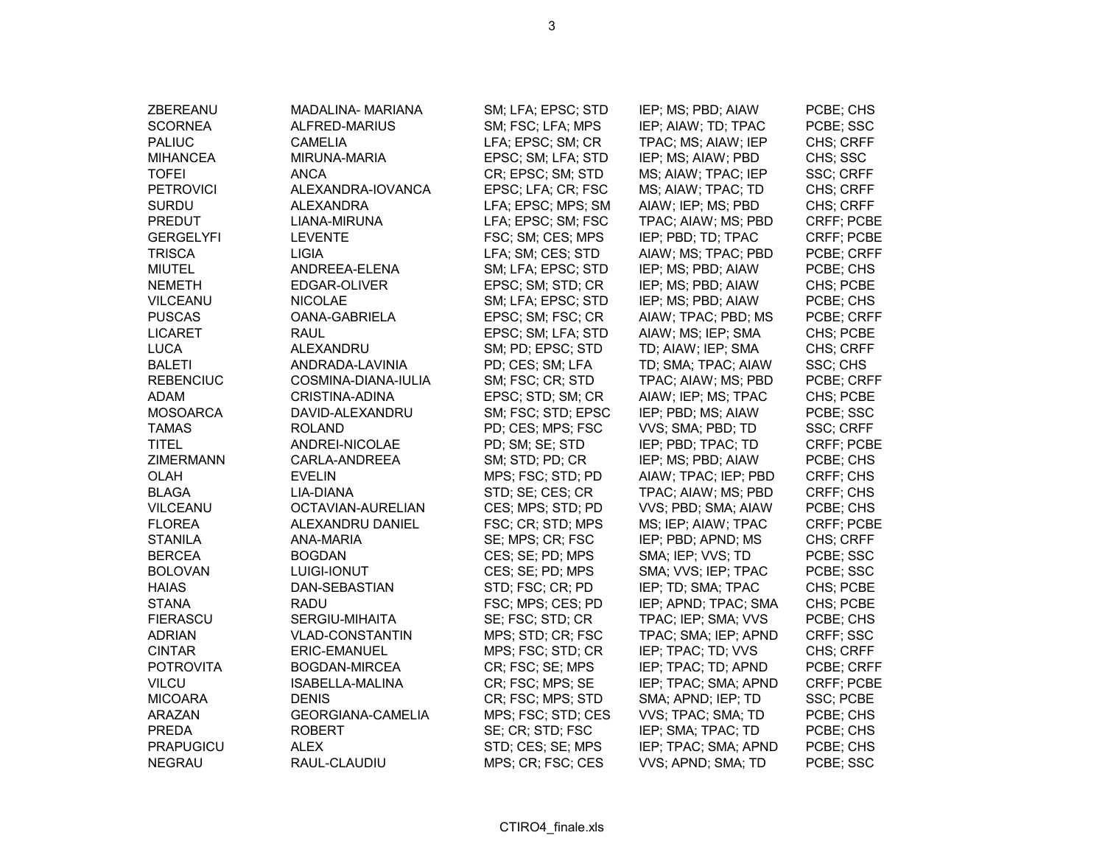| ZBEREANU         | MADALINA- MARIANA        | SM; LFA; EPSC; STD | IEP; MS; PBD; AIAW   | PCBE; CHS  |
|------------------|--------------------------|--------------------|----------------------|------------|
| <b>SCORNEA</b>   | ALFRED-MARIUS            | SM; FSC; LFA; MPS  | IEP; AIAW; TD; TPAC  | PCBE; SSC  |
| <b>PALIUC</b>    | <b>CAMELIA</b>           | LFA; EPSC; SM; CR  | TPAC; MS; AIAW; IEP  | CHS; CRFF  |
| MIHANCEA         | MIRUNA-MARIA             | EPSC; SM; LFA; STD | IEP; MS; AIAW; PBD   | CHS; SSC   |
| <b>TOFEI</b>     | ANCA                     | CR; EPSC; SM; STD  | MS; AIAW; TPAC; IEP  | SSC; CRFF  |
| <b>PETROVICI</b> | ALEXANDRA-IOVANCA        | EPSC; LFA; CR; FSC | MS; AIAW; TPAC; TD   | CHS; CRFF  |
| <b>SURDU</b>     | <b>ALEXANDRA</b>         | LFA; EPSC; MPS; SM | AIAW; IEP; MS; PBD   | CHS; CRFF  |
| PREDUT           | LIANA-MIRUNA             | LFA; EPSC; SM; FSC | TPAC; AIAW; MS; PBD  | CRFF; PCBE |
| <b>GERGELYFI</b> | <b>LEVENTE</b>           | FSC; SM; CES; MPS  | IEP; PBD; TD; TPAC   | CRFF; PCBE |
| <b>TRISCA</b>    | <b>LIGIA</b>             | LFA; SM; CES; STD  | AIAW; MS; TPAC; PBD  | PCBE; CRFF |
| <b>MIUTEL</b>    | ANDREEA-ELENA            | SM; LFA; EPSC; STD | IEP; MS; PBD; AIAW   | PCBE; CHS  |
| <b>NEMETH</b>    | EDGAR-OLIVER             | EPSC; SM; STD; CR  | IEP; MS; PBD; AIAW   | CHS; PCBE  |
| <b>VILCEANU</b>  | <b>NICOLAE</b>           | SM; LFA; EPSC; STD | IEP; MS; PBD; AIAW   | PCBE; CHS  |
| <b>PUSCAS</b>    | OANA-GABRIELA            | EPSC; SM; FSC; CR  | AIAW; TPAC; PBD; MS  | PCBE; CRFF |
| <b>LICARET</b>   | <b>RAUL</b>              | EPSC; SM; LFA; STD | AIAW; MS; IEP; SMA   | CHS; PCBE  |
| <b>LUCA</b>      | ALEXANDRU                | SM; PD; EPSC; STD  | TD; AIAW; IEP; SMA   | CHS; CRFF  |
| <b>BALETI</b>    | ANDRADA-LAVINIA          | PD; CES; SM; LFA   | TD; SMA; TPAC; AIAW  | SSC; CHS   |
| <b>REBENCIUC</b> | COSMINA-DIANA-IULIA      | SM; FSC; CR; STD   | TPAC; AIAW; MS; PBD  | PCBE; CRFF |
| <b>ADAM</b>      | <b>CRISTINA-ADINA</b>    | EPSC; STD; SM; CR  | AIAW; IEP; MS; TPAC  | CHS; PCBE  |
| <b>MOSOARCA</b>  | DAVID-ALEXANDRU          | SM; FSC; STD; EPSC | IEP; PBD; MS; AIAW   | PCBE; SSC  |
| <b>TAMAS</b>     | ROLAND                   | PD; CES; MPS; FSC  | VVS; SMA; PBD; TD    | SSC; CRFF  |
| <b>TITEL</b>     | ANDREI-NICOLAE           | PD; SM; SE; STD    | IEP; PBD; TPAC; TD   | CRFF; PCBE |
| <b>ZIMERMANN</b> | CARLA-ANDREEA            | SM; STD; PD; CR    | IEP; MS; PBD; AIAW   | PCBE; CHS  |
| <b>OLAH</b>      | <b>EVELIN</b>            | MPS; FSC; STD; PD  | AIAW; TPAC; IEP; PBD | CRFF; CHS  |
| <b>BLAGA</b>     | LIA-DIANA                | STD; SE; CES; CR   | TPAC; AIAW; MS; PBD  | CRFF; CHS  |
| VILCEANU         | OCTAVIAN-AURELIAN        | CES; MPS; STD; PD  | VVS; PBD; SMA; AIAW  | PCBE; CHS  |
| <b>FLOREA</b>    | ALEXANDRU DANIEL         | FSC; CR; STD; MPS  | MS; IEP; AIAW; TPAC  | CRFF; PCBE |
| <b>STANILA</b>   | ANA-MARIA                | SE; MPS; CR; FSC   | IEP; PBD; APND; MS   | CHS; CRFF  |
| <b>BERCEA</b>    | <b>BOGDAN</b>            | CES; SE; PD; MPS   | SMA; IEP; VVS; TD    | PCBE; SSC  |
| <b>BOLOVAN</b>   | <b>LUIGI-IONUT</b>       | CES; SE; PD; MPS   | SMA; VVS; IEP; TPAC  | PCBE; SSC  |
| <b>HAIAS</b>     | DAN-SEBASTIAN            | STD; FSC; CR; PD   | IEP; TD; SMA; TPAC   | CHS; PCBE  |
| <b>STANA</b>     | RADU                     | FSC; MPS; CES; PD  | IEP; APND; TPAC; SMA | CHS; PCBE  |
| <b>FIERASCU</b>  | SERGIU-MIHAITA           | SE; FSC; STD; CR   | TPAC; IEP; SMA; VVS  | PCBE; CHS  |
| <b>ADRIAN</b>    | VLAD-CONSTANTIN          | MPS; STD; CR; FSC  | TPAC; SMA; IEP; APND | CRFF; SSC  |
| <b>CINTAR</b>    | <b>ERIC-EMANUEL</b>      | MPS; FSC; STD; CR  | IEP; TPAC; TD; VVS   | CHS; CRFF  |
| <b>POTROVITA</b> | BOGDAN-MIRCEA            | CR; FSC; SE; MPS   | IEP; TPAC; TD; APND  | PCBE; CRFF |
| <b>VILCU</b>     | ISABELLA-MALINA          | CR; FSC; MPS; SE   | IEP; TPAC; SMA; APND | CRFF; PCBE |
| <b>MICOARA</b>   | <b>DENIS</b>             | CR; FSC; MPS; STD  | SMA; APND; IEP; TD   | SSC; PCBE  |
| <b>ARAZAN</b>    | <b>GEORGIANA-CAMELIA</b> | MPS; FSC; STD; CES | VVS; TPAC; SMA; TD   | PCBE; CHS  |
| <b>PREDA</b>     | ROBERT                   | SE; CR; STD; FSC   | IEP; SMA; TPAC; TD   | PCBE; CHS  |
| <b>PRAPUGICU</b> | ALEX                     | STD; CES; SE; MPS  | IEP; TPAC; SMA; APND | PCBE; CHS  |
| <b>NEGRAU</b>    | RAUL-CLAUDIU             | MPS; CR; FSC; CES  | VVS; APND; SMA; TD   | PCBE; SSC  |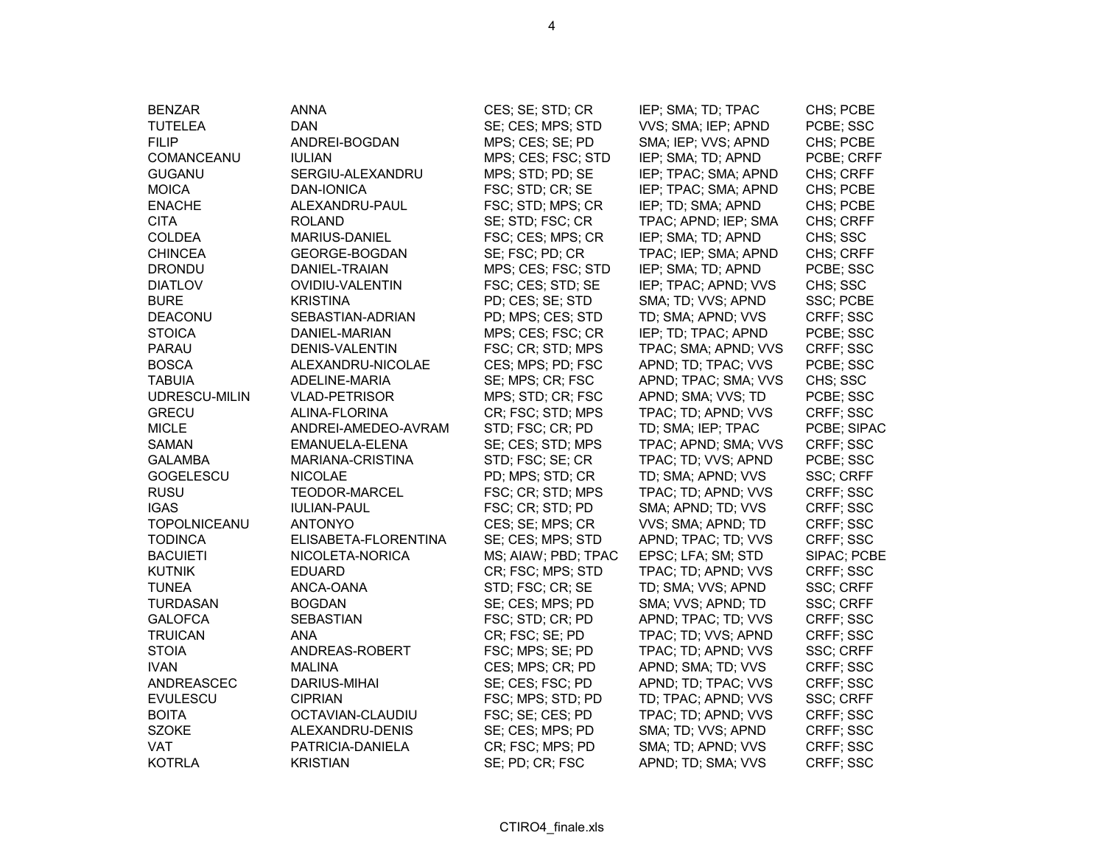| <b>BENZAR</b><br><b>TUTELEA</b><br><b>FILIP</b> | <b>ANNA</b><br><b>DAN</b><br>ANDREI-BOGDAN | CES; SE; STD; CR<br>SE; CES; MPS; STD<br>MPS; CES; SE; PD | IEP; SMA; TD; TPAC<br>VVS; SMA; IEP; APND<br>SMA; IEP; VVS; APND | CHS; PCBE<br>PCBE; SSC<br>CHS; PCBE |
|-------------------------------------------------|--------------------------------------------|-----------------------------------------------------------|------------------------------------------------------------------|-------------------------------------|
| COMANCEANU                                      | <b>IULIAN</b>                              | MPS; CES; FSC; STD                                        | IEP; SMA; TD; APND                                               | PCBE; CRFF                          |
| <b>GUGANU</b>                                   | SERGIU-ALEXANDRU                           | MPS; STD; PD; SE                                          | IEP; TPAC; SMA; APND                                             | CHS; CRFF                           |
| <b>MOICA</b>                                    | DAN-IONICA                                 | FSC; STD; CR; SE                                          | IEP; TPAC; SMA; APND                                             | CHS; PCBE                           |
| <b>ENACHE</b>                                   | ALEXANDRU-PAUL                             | FSC; STD; MPS; CR                                         | IEP; TD; SMA; APND                                               | CHS; PCBE                           |
| <b>CITA</b>                                     | <b>ROLAND</b>                              | SE; STD; FSC; CR                                          | TPAC; APND; IEP; SMA                                             | CHS; CRFF                           |
| COLDEA                                          | <b>MARIUS-DANIEL</b>                       | FSC; CES; MPS; CR                                         | IEP; SMA; TD; APND                                               | CHS; SSC                            |
| <b>CHINCEA</b>                                  | GEORGE-BOGDAN                              | SE; FSC; PD; CR                                           | TPAC; IEP; SMA; APND                                             | CHS; CRFF                           |
| <b>DRONDU</b>                                   | DANIEL-TRAIAN                              | MPS; CES; FSC; STD                                        | IEP; SMA; TD; APND                                               | PCBE; SSC                           |
| <b>DIATLOV</b>                                  | <b>OVIDIU-VALENTIN</b>                     | FSC; CES; STD; SE                                         | IEP; TPAC; APND; VVS                                             | CHS; SSC                            |
| <b>BURE</b>                                     | <b>KRISTINA</b>                            | PD; CES; SE; STD                                          | SMA; TD; VVS; APND                                               | SSC; PCBE                           |
| DEACONU                                         | SEBASTIAN-ADRIAN                           | PD; MPS; CES; STD                                         | TD; SMA; APND; VVS                                               | CRFF; SSC                           |
| <b>STOICA</b>                                   | DANIEL-MARIAN                              | MPS; CES; FSC; CR                                         | IEP; TD; TPAC; APND                                              | PCBE; SSC                           |
| PARAU                                           | DENIS-VALENTIN                             | FSC; CR; STD; MPS                                         | TPAC; SMA; APND; VVS                                             | CRFF; SSC                           |
| <b>BOSCA</b>                                    | ALEXANDRU-NICOLAE                          | CES; MPS; PD; FSC                                         | APND; TD; TPAC; VVS                                              | PCBE; SSC                           |
| <b>TABUIA</b>                                   | ADELINE-MARIA                              | SE; MPS; CR; FSC                                          | APND; TPAC; SMA; VVS                                             | CHS; SSC                            |
| UDRESCU-MILIN                                   | <b>VLAD-PETRISOR</b>                       | MPS; STD; CR; FSC                                         | APND; SMA; VVS; TD                                               | PCBE; SSC                           |
| <b>GRECU</b>                                    | ALINA-FLORINA                              | CR; FSC; STD; MPS                                         | TPAC; TD; APND; VVS                                              | CRFF; SSC                           |
| <b>MICLE</b>                                    | ANDREI-AMEDEO-AVRAM                        | STD; FSC; CR; PD                                          | TD; SMA; IEP; TPAC                                               | PCBE; SIPAC                         |
| <b>SAMAN</b>                                    | EMANUELA-ELENA                             | SE; CES; STD; MPS                                         | TPAC; APND; SMA; VVS                                             | CRFF; SSC                           |
| <b>GALAMBA</b>                                  | MARIANA-CRISTINA                           | STD; FSC; SE; CR                                          | TPAC; TD; VVS; APND                                              | PCBE; SSC                           |
| GOGELESCU                                       | <b>NICOLAE</b>                             | PD; MPS; STD; CR                                          | TD; SMA; APND; VVS                                               | SSC; CRFF                           |
| <b>RUSU</b>                                     | <b>TEODOR-MARCEL</b>                       | FSC; CR; STD; MPS                                         | TPAC; TD; APND; VVS                                              | CRFF; SSC                           |
| <b>IGAS</b>                                     | <b>IULIAN-PAUL</b>                         | FSC; CR; STD; PD                                          | SMA; APND; TD; VVS                                               | CRFF; SSC                           |
| <b>TOPOLNICEANU</b>                             | <b>ANTONYO</b>                             | CES; SE; MPS; CR                                          | VVS; SMA; APND; TD                                               | CRFF; SSC                           |
| <b>TODINCA</b>                                  | ELISABETA-FLORENTINA                       | SE; CES; MPS; STD                                         | APND; TPAC; TD; VVS                                              | CRFF; SSC                           |
| <b>BACUIETI</b>                                 | NICOLETA-NORICA                            | MS; AIAW; PBD; TPAC                                       | EPSC; LFA; SM; STD                                               | SIPAC; PCBE                         |
| <b>KUTNIK</b>                                   | <b>EDUARD</b>                              | CR; FSC; MPS; STD                                         | TPAC; TD; APND; VVS                                              | CRFF; SSC                           |
| <b>TUNEA</b>                                    | ANCA-OANA                                  | STD; FSC; CR; SE                                          | TD; SMA; VVS; APND                                               | SSC; CRFF                           |
| <b>TURDASAN</b>                                 | <b>BOGDAN</b>                              | SE; CES; MPS; PD                                          | SMA; VVS; APND; TD                                               | SSC; CRFF                           |
| <b>GALOFCA</b>                                  | <b>SEBASTIAN</b>                           | FSC; STD; CR; PD                                          | APND; TPAC; TD; VVS                                              | CRFF; SSC                           |
| <b>TRUICAN</b>                                  | <b>ANA</b>                                 | CR; FSC; SE; PD                                           | TPAC; TD; VVS; APND                                              | CRFF; SSC                           |
| <b>STOIA</b>                                    | ANDREAS-ROBERT                             | FSC; MPS; SE; PD                                          | TPAC; TD; APND; VVS                                              | SSC; CRFF                           |
| <b>IVAN</b>                                     | MALINA                                     | CES; MPS; CR; PD                                          | APND; SMA; TD; VVS                                               | CRFF; SSC                           |
| ANDREASCEC                                      | <b>DARIUS-MIHAI</b>                        | SE; CES; FSC; PD                                          | APND; TD; TPAC; VVS                                              | CRFF; SSC                           |
| <b>EVULESCU</b>                                 | <b>CIPRIAN</b>                             | FSC; MPS; STD; PD                                         | TD; TPAC; APND; VVS                                              | SSC; CRFF                           |
| <b>BOITA</b>                                    | OCTAVIAN-CLAUDIU                           | FSC; SE; CES; PD                                          | TPAC; TD; APND; VVS                                              | CRFF; SSC                           |
| <b>SZOKE</b>                                    | ALEXANDRU-DENIS                            | SE; CES; MPS; PD                                          | SMA; TD; VVS; APND                                               | CRFF; SSC                           |
| <b>VAT</b>                                      | PATRICIA-DANIELA                           | CR; FSC; MPS; PD                                          | SMA; TD; APND; VVS                                               | CRFF; SSC                           |
| <b>KOTRLA</b>                                   | <b>KRISTIAN</b>                            | SE; PD; CR; FSC                                           | APND; TD; SMA; VVS                                               | CRFF; SSC                           |

4